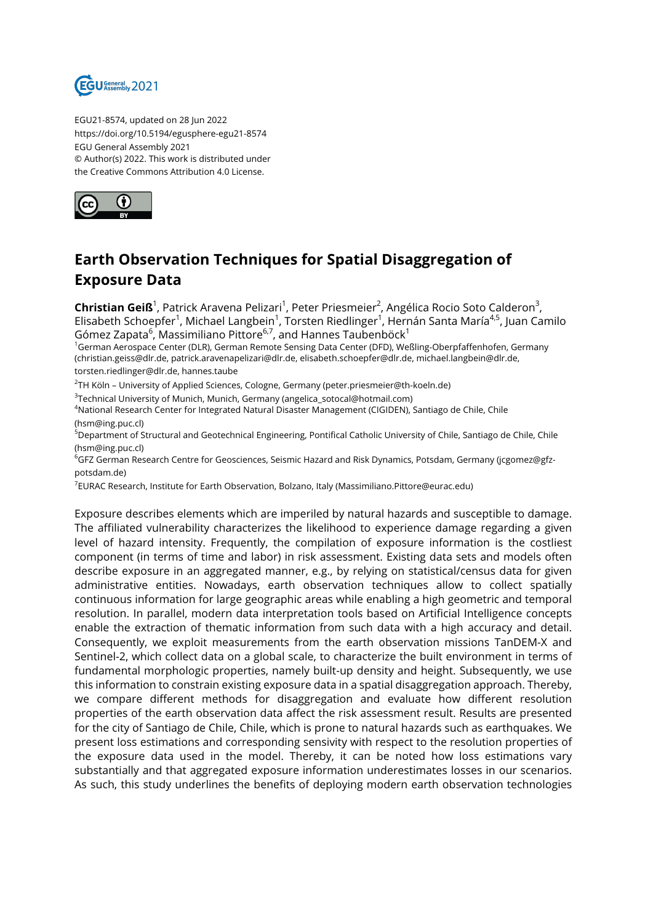

EGU21-8574, updated on 28 Jun 2022 https://doi.org/10.5194/egusphere-egu21-8574 EGU General Assembly 2021 © Author(s) 2022. This work is distributed under the Creative Commons Attribution 4.0 License.



## **Earth Observation Techniques for Spatial Disaggregation of Exposure Data**

**Christian Geiß**<sup>1</sup>, Patrick Aravena Pelizari<sup>1</sup>, Peter Priesmeier<sup>2</sup>, Angélica Rocio Soto Calderon<sup>3</sup>, Elisabeth Schoepfer<sup>1</sup>, Michael Langbein<sup>1</sup>, Torsten Riedlinger<sup>1</sup>, Hernán Santa María<sup>4,5</sup>, Juan Camilo Gómez Zapata $^6$ , Massimiliano Pittore $^{6,7}$ , and Hannes Taubenböck $^1$ 

<sup>1</sup>German Aerospace Center (DLR), German Remote Sensing Data Center (DFD), Weßling-Oberpfaffenhofen, Germany (christian.geiss@dlr.de, patrick.aravenapelizari@dlr.de, elisabeth.schoepfer@dlr.de, michael.langbein@dlr.de, torsten.riedlinger@dlr.de, hannes.taube

 $^{2}$ TH Köln – University of Applied Sciences, Cologne, Germany (peter.priesmeier@th-koeln.de)

 $^3$ Technical University of Munich, Munich, Germany (angelica\_sotocal@hotmail.com)

<sup>4</sup>National Research Center for Integrated Natural Disaster Management (CIGIDEN), Santiago de Chile, Chile (hsm@ing.puc.cl)

<sup>5</sup>Department of Structural and Geotechnical Engineering, Pontifical Catholic University of Chile, Santiago de Chile, Chile (hsm@ing.puc.cl)

<sup>6</sup>GFZ German Research Centre for Geosciences, Seismic Hazard and Risk Dynamics, Potsdam, Germany (jcgomez@gfzpotsdam.de)

7 EURAC Research, Institute for Earth Observation, Bolzano, Italy (Massimiliano.Pittore@eurac.edu)

Exposure describes elements which are imperiled by natural hazards and susceptible to damage. The affiliated vulnerability characterizes the likelihood to experience damage regarding a given level of hazard intensity. Frequently, the compilation of exposure information is the costliest component (in terms of time and labor) in risk assessment. Existing data sets and models often describe exposure in an aggregated manner, e.g., by relying on statistical/census data for given administrative entities. Nowadays, earth observation techniques allow to collect spatially continuous information for large geographic areas while enabling a high geometric and temporal resolution. In parallel, modern data interpretation tools based on Artificial Intelligence concepts enable the extraction of thematic information from such data with a high accuracy and detail. Consequently, we exploit measurements from the earth observation missions TanDEM-X and Sentinel-2, which collect data on a global scale, to characterize the built environment in terms of fundamental morphologic properties, namely built-up density and height. Subsequently, we use this information to constrain existing exposure data in a spatial disaggregation approach. Thereby, we compare different methods for disaggregation and evaluate how different resolution properties of the earth observation data affect the risk assessment result. Results are presented for the city of Santiago de Chile, Chile, which is prone to natural hazards such as earthquakes. We present loss estimations and corresponding sensivity with respect to the resolution properties of the exposure data used in the model. Thereby, it can be noted how loss estimations vary substantially and that aggregated exposure information underestimates losses in our scenarios. As such, this study underlines the benefits of deploying modern earth observation technologies